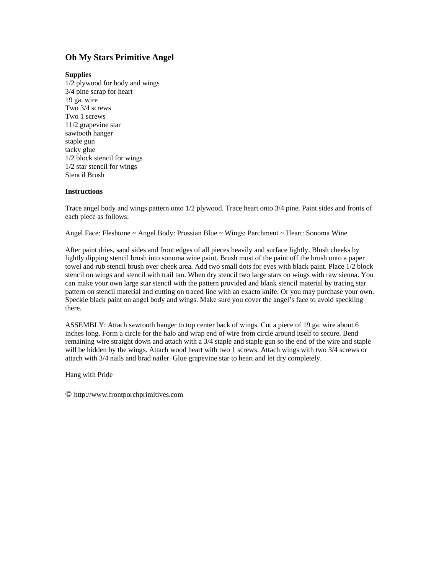## **Oh My Stars Primitive Angel**

## **Supplies**

1/2 plywood for body and wings 3/4 pine scrap for heart 19 ga. wire Two 3/4 screws Two 1 screws 11/2 grapevine star sawtooth hanger staple gun tacky glue 1/2 block stencil for wings 1/2 star stencil for wings Stencil Brush

## **Instructions**

Trace angel body and wings pattern onto 1/2 plywood. Trace heart onto 3/4 pine. Paint sides and fronts of each piece as follows:

Angel Face: Fleshtone ~ Angel Body: Prussian Blue ~ Wings: Parchment ~ Heart: Sonoma Wine

After paint dries, sand sides and front edges of all pieces heavily and surface lightly. Blush cheeks by lightly dipping stencil brush into sonoma wine paint. Brush most of the paint off the brush onto a paper towel and rub stencil brush over cheek area. Add two small dots for eyes with black paint. Place 1/2 block stencil on wings and stencil with trail tan. When dry stencil two large stars on wings with raw sienna. You can make your own large star stencil with the pattern provided and blank stencil material by tracing star pattern on stencil material and cutting on traced line with an exacto knife. Or you may purchase your own. Speckle black paint on angel body and wings. Make sure you cover the angel's face to avoid speckling there.

ASSEMBLY: Attach sawtooth hanger to top center back of wings. Cut a piece of 19 ga. wire about 6 inches long. Form a circle for the halo and wrap end of wire from circle around itself to secure. Bend remaining wire straight down and attach with a 3/4 staple and staple gun so the end of the wire and staple will be hidden by the wings. Attach wood heart with two 1 screws. Attach wings with two 3/4 screws or attach with 3/4 nails and brad nailer. Glue grapevine star to heart and let dry completely.

Hang with Pride

© http://www.frontporchprimitives.com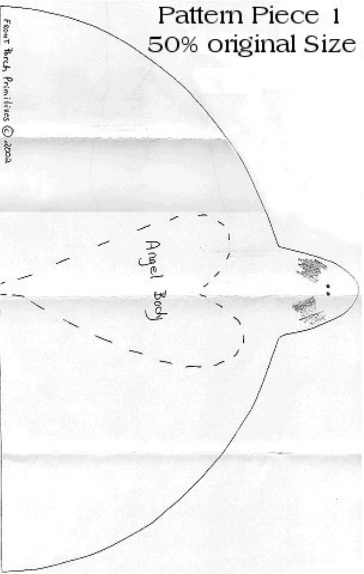